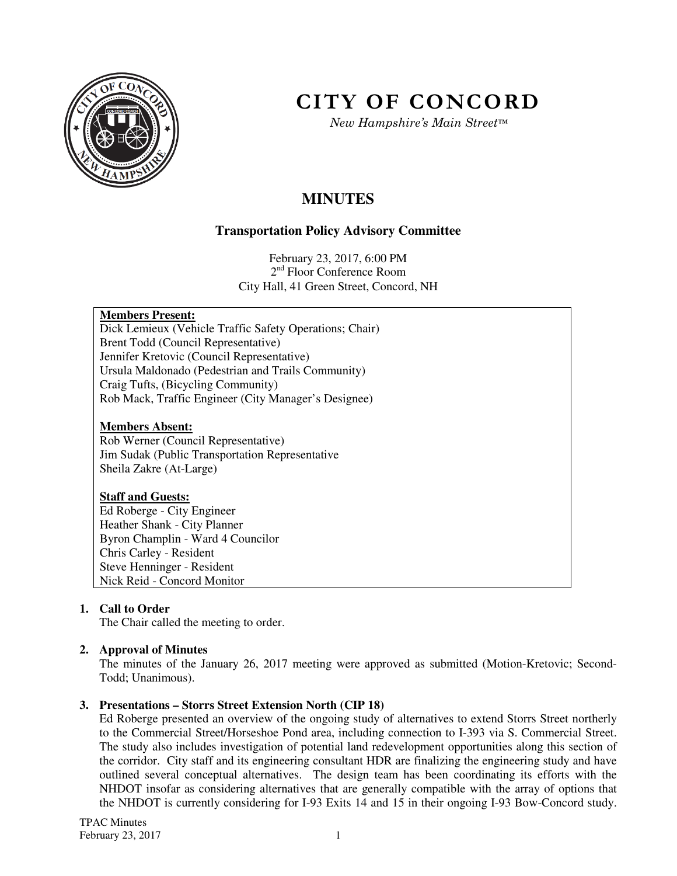

# **CITY OF CONCORD**

*New Hampshire's Main Street™*

# **MINUTES**

# **Transportation Policy Advisory Committee**

February 23, 2017, 6:00 PM 2<sup>nd</sup> Floor Conference Room City Hall, 41 Green Street, Concord, NH

### **Members Present:**

Dick Lemieux (Vehicle Traffic Safety Operations; Chair) Brent Todd (Council Representative) Jennifer Kretovic (Council Representative) Ursula Maldonado (Pedestrian and Trails Community) Craig Tufts, (Bicycling Community) Rob Mack, Traffic Engineer (City Manager's Designee)

#### **Members Absent:**

Rob Werner (Council Representative) Jim Sudak (Public Transportation Representative Sheila Zakre (At-Large)

#### **Staff and Guests:**

Ed Roberge - City Engineer Heather Shank - City Planner Byron Champlin - Ward 4 Councilor Chris Carley - Resident Steve Henninger - Resident Nick Reid - Concord Monitor

# **1. Call to Order**

The Chair called the meeting to order.

# **2. Approval of Minutes**

The minutes of the January 26, 2017 meeting were approved as submitted (Motion-Kretovic; Second-Todd; Unanimous).

# **3. Presentations – Storrs Street Extension North (CIP 18)**

Ed Roberge presented an overview of the ongoing study of alternatives to extend Storrs Street northerly to the Commercial Street/Horseshoe Pond area, including connection to I-393 via S. Commercial Street. The study also includes investigation of potential land redevelopment opportunities along this section of the corridor. City staff and its engineering consultant HDR are finalizing the engineering study and have outlined several conceptual alternatives. The design team has been coordinating its efforts with the NHDOT insofar as considering alternatives that are generally compatible with the array of options that the NHDOT is currently considering for I-93 Exits 14 and 15 in their ongoing I-93 Bow-Concord study.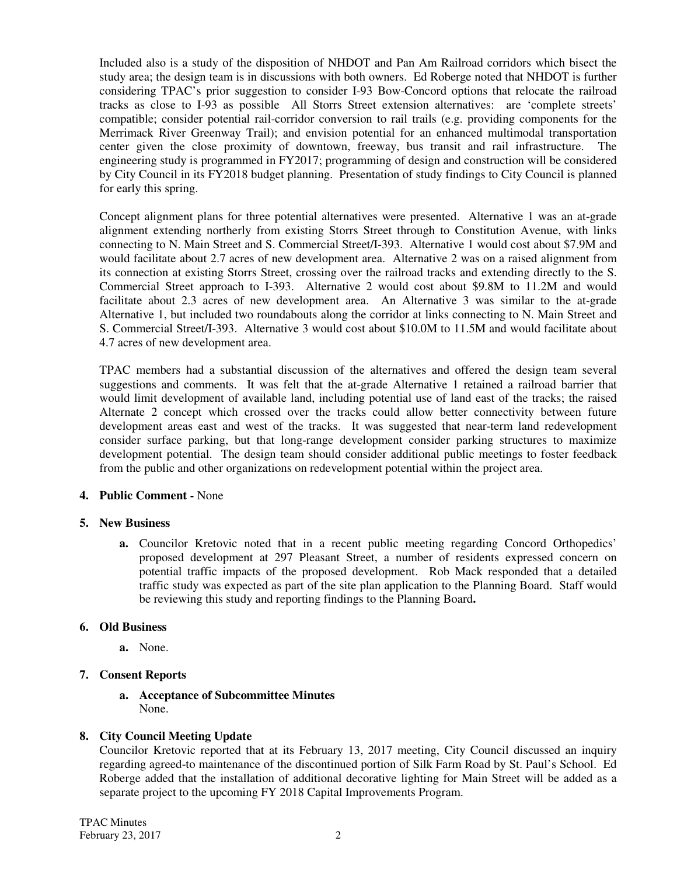Included also is a study of the disposition of NHDOT and Pan Am Railroad corridors which bisect the study area; the design team is in discussions with both owners. Ed Roberge noted that NHDOT is further considering TPAC's prior suggestion to consider I-93 Bow-Concord options that relocate the railroad tracks as close to I-93 as possible All Storrs Street extension alternatives: are 'complete streets' compatible; consider potential rail-corridor conversion to rail trails (e.g. providing components for the Merrimack River Greenway Trail); and envision potential for an enhanced multimodal transportation center given the close proximity of downtown, freeway, bus transit and rail infrastructure. The engineering study is programmed in FY2017; programming of design and construction will be considered by City Council in its FY2018 budget planning. Presentation of study findings to City Council is planned for early this spring.

Concept alignment plans for three potential alternatives were presented. Alternative 1 was an at-grade alignment extending northerly from existing Storrs Street through to Constitution Avenue, with links connecting to N. Main Street and S. Commercial Street/I-393. Alternative 1 would cost about \$7.9M and would facilitate about 2.7 acres of new development area. Alternative 2 was on a raised alignment from its connection at existing Storrs Street, crossing over the railroad tracks and extending directly to the S. Commercial Street approach to I-393. Alternative 2 would cost about \$9.8M to 11.2M and would facilitate about 2.3 acres of new development area. An Alternative 3 was similar to the at-grade Alternative 1, but included two roundabouts along the corridor at links connecting to N. Main Street and S. Commercial Street/I-393. Alternative 3 would cost about \$10.0M to 11.5M and would facilitate about 4.7 acres of new development area.

TPAC members had a substantial discussion of the alternatives and offered the design team several suggestions and comments. It was felt that the at-grade Alternative 1 retained a railroad barrier that would limit development of available land, including potential use of land east of the tracks; the raised Alternate 2 concept which crossed over the tracks could allow better connectivity between future development areas east and west of the tracks. It was suggested that near-term land redevelopment consider surface parking, but that long-range development consider parking structures to maximize development potential. The design team should consider additional public meetings to foster feedback from the public and other organizations on redevelopment potential within the project area.

#### **4. Public Comment -** None

#### **5. New Business**

**a.** Councilor Kretovic noted that in a recent public meeting regarding Concord Orthopedics' proposed development at 297 Pleasant Street, a number of residents expressed concern on potential traffic impacts of the proposed development. Rob Mack responded that a detailed traffic study was expected as part of the site plan application to the Planning Board. Staff would be reviewing this study and reporting findings to the Planning Board**.** 

#### **6. Old Business**

**a.** None.

# **7. Consent Reports**

**a. Acceptance of Subcommittee Minutes**  None.

# **8. City Council Meeting Update**

Councilor Kretovic reported that at its February 13, 2017 meeting, City Council discussed an inquiry regarding agreed-to maintenance of the discontinued portion of Silk Farm Road by St. Paul's School. Ed Roberge added that the installation of additional decorative lighting for Main Street will be added as a separate project to the upcoming FY 2018 Capital Improvements Program.